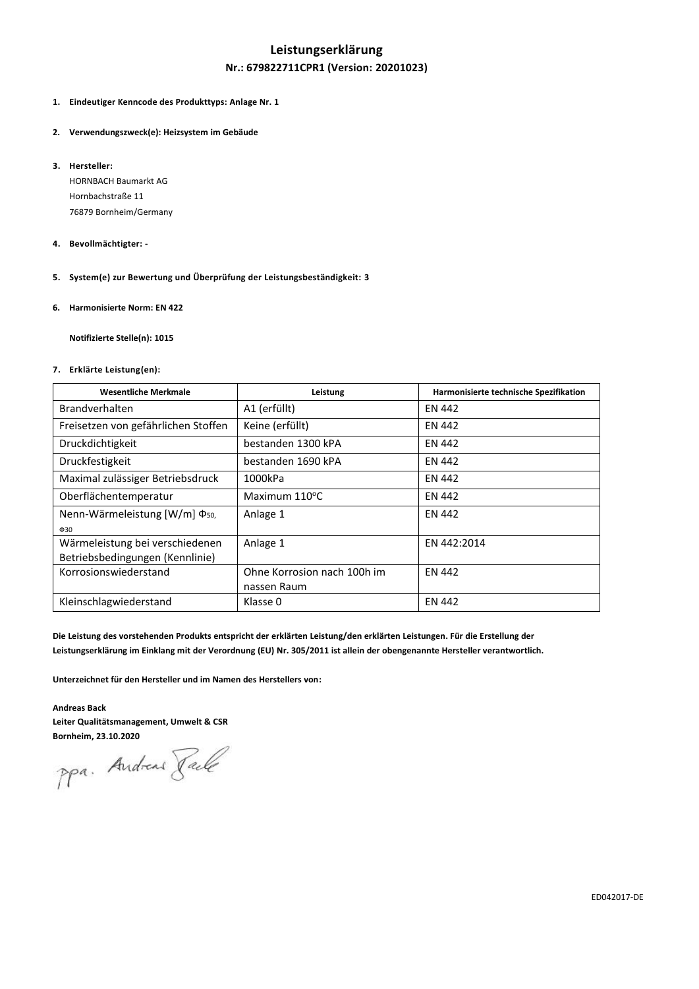# **Leistungserklärung Nr.: 679822711CPR1 (Version: 20201023)**

- **1. Eindeutiger Kenncode des Produkttyps: Anlage Nr. 1**
- **2. Verwendungszweck(e): Heizsystem im Gebäude**
- **3. Hersteller:**

HORNBACH Baumarkt AG Hornbachstraße 11 76879 Bornheim/Germany

- **4. Bevollmächtigter: -**
- **5. System(e) zur Bewertung und Überprüfung der Leistungsbeständigkeit: 3**
- **6. Harmonisierte Norm: EN 422**

**Notifizierte Stelle(n): 1015**

## **7. Erklärte Leistung(en):**

| <b>Wesentliche Merkmale</b>                | Leistung                    | Harmonisierte technische Spezifikation |
|--------------------------------------------|-----------------------------|----------------------------------------|
| <b>Brandverhalten</b>                      | A1 (erfüllt)                | <b>EN 442</b>                          |
| Freisetzen von gefährlichen Stoffen        | Keine (erfüllt)             | <b>EN 442</b>                          |
| Druckdichtigkeit                           | bestanden 1300 kPA          | EN 442                                 |
| Druckfestigkeit                            | bestanden 1690 kPA          | <b>EN 442</b>                          |
| Maximal zulässiger Betriebsdruck           | 1000kPa                     | <b>EN 442</b>                          |
| Oberflächentemperatur                      | Maximum $110^{\circ}$ C     | <b>EN 442</b>                          |
| Nenn-Wärmeleistung $[{\rm W/m}] \Phi_{50}$ | Anlage 1                    | <b>EN 442</b>                          |
| $\Phi$ 30                                  |                             |                                        |
| Wärmeleistung bei verschiedenen            | Anlage 1                    | EN 442:2014                            |
| Betriebsbedingungen (Kennlinie)            |                             |                                        |
| Korrosionswiederstand                      | Ohne Korrosion nach 100h im | <b>EN 442</b>                          |
|                                            | nassen Raum                 |                                        |
| Kleinschlagwiederstand                     | Klasse 0                    | <b>EN 442</b>                          |

**Die Leistung des vorstehenden Produkts entspricht der erklärten Leistung/den erklärten Leistungen. Für die Erstellung der Leistungserklärung im Einklang mit der Verordnung (EU) Nr. 305/2011 ist allein der obengenannte Hersteller verantwortlich.**

**Unterzeichnet für den Hersteller und im Namen des Herstellers von:**

## **Andreas Back Leiter Qualitätsmanagement, Umwelt & CSR**

**Bornheim, 23.10.2020**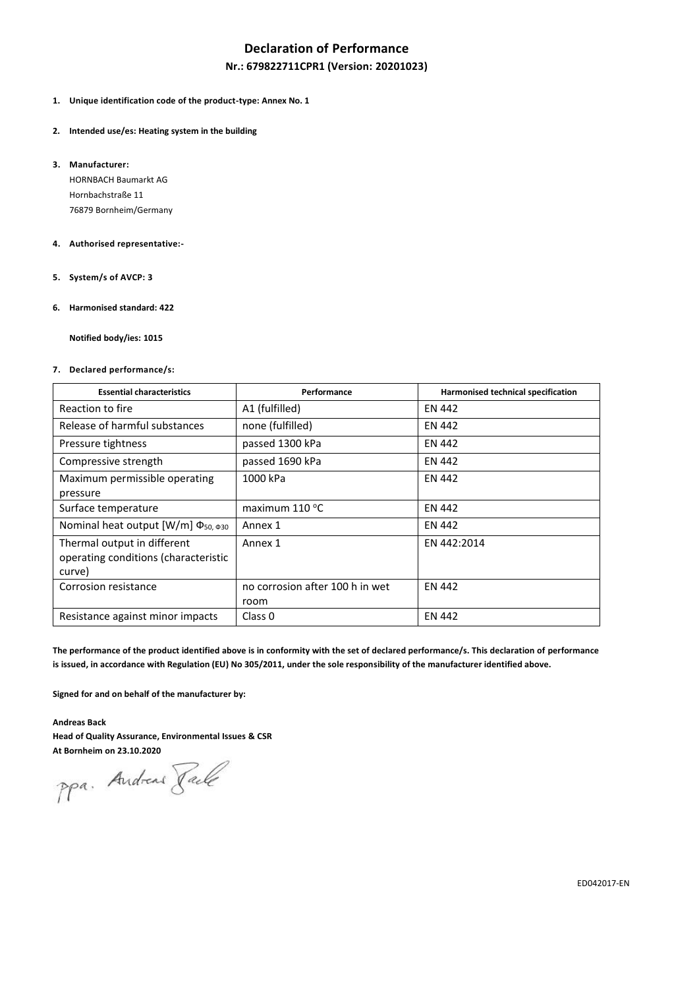# **Declaration of Performance**

## **Nr.: 679822711CPR1 (Version: 20201023)**

- **1. Unique identification code of the product-type: Annex No. 1**
- **2. Intended use/es: Heating system in the building**
- **3. Manufacturer:**

HORNBACH Baumarkt AG Hornbachstraße 11 76879 Bornheim/Germany

### **4. Authorised representative:-**

- **5. System/s of AVCP: 3**
- **6. Harmonised standard: 422**

**Notified body/ies: 1015**

### **7. Declared performance/s:**

| <b>Essential characteristics</b>                                              | Performance                             | Harmonised technical specification |
|-------------------------------------------------------------------------------|-----------------------------------------|------------------------------------|
| Reaction to fire                                                              | A1 (fulfilled)                          | <b>EN 442</b>                      |
| Release of harmful substances                                                 | none (fulfilled)                        | EN 442                             |
| Pressure tightness                                                            | passed 1300 kPa                         | EN 442                             |
| Compressive strength                                                          | passed 1690 kPa                         | <b>EN 442</b>                      |
| Maximum permissible operating<br>pressure                                     | 1000 kPa                                | EN 442                             |
| Surface temperature                                                           | maximum $110^{\circ}$ C                 | <b>EN 442</b>                      |
| Nominal heat output [W/m] Φ <sub>50, Φ30</sub>                                | Annex 1                                 | <b>EN 442</b>                      |
| Thermal output in different<br>operating conditions (characteristic<br>curve) | Annex 1                                 | EN 442:2014                        |
| Corrosion resistance                                                          | no corrosion after 100 h in wet<br>room | <b>EN 442</b>                      |
| Resistance against minor impacts                                              | Class 0                                 | <b>EN 442</b>                      |

**The performance of the product identified above is in conformity with the set of declared performance/s. This declaration of performance is issued, in accordance with Regulation (EU) No 305/2011, under the sole responsibility of the manufacturer identified above.**

**Signed for and on behalf of the manufacturer by:**

**Andreas Back**

**Head of Quality Assurance, Environmental Issues & CSR**

**At Bornheim on 23.10.2020**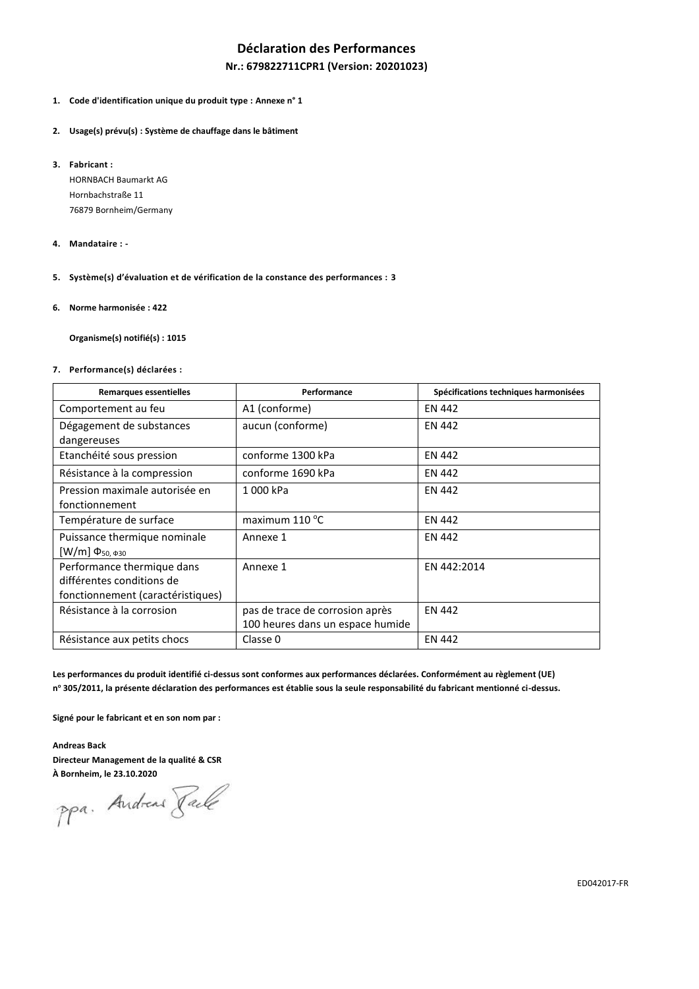# **Déclaration des Performances**

## **Nr.: 679822711CPR1 (Version: 20201023)**

- **1. Code d'identification unique du produit type : Annexe n° 1**
- **2. Usage(s) prévu(s) : Système de chauffage dans le bâtiment**
- **3. Fabricant :**

HORNBACH Baumarkt AG Hornbachstraße 11 76879 Bornheim/Germany

- **4. Mandataire : -**
- **5. Système(s) d'évaluation et de vérification de la constance des performances : 3**
- **6. Norme harmonisée : 422**

**Organisme(s) notifié(s) : 1015**

**7. Performance(s) déclarées :**

| <b>Remarques essentielles</b>                                                                | Performance                                                         | Spécifications techniques harmonisées |
|----------------------------------------------------------------------------------------------|---------------------------------------------------------------------|---------------------------------------|
| Comportement au feu                                                                          | A1 (conforme)                                                       | EN 442                                |
| Dégagement de substances<br>dangereuses                                                      | aucun (conforme)                                                    | EN 442                                |
| Etanchéité sous pression                                                                     | conforme 1300 kPa                                                   | EN 442                                |
| Résistance à la compression                                                                  | conforme 1690 kPa                                                   | EN 442                                |
| Pression maximale autorisée en<br>fonctionnement                                             | 1000 kPa                                                            | <b>EN 442</b>                         |
| Température de surface                                                                       | maximum $110^{\circ}$ C                                             | EN 442                                |
| Puissance thermique nominale<br>$[W/m] \Phi_{50, \Phi_{30}}$                                 | Annexe 1                                                            | EN 442                                |
| Performance thermique dans<br>différentes conditions de<br>fonctionnement (caractéristiques) | Annexe 1                                                            | EN 442:2014                           |
| Résistance à la corrosion                                                                    | pas de trace de corrosion après<br>100 heures dans un espace humide | <b>EN 442</b>                         |
| Résistance aux petits chocs                                                                  | Classe 0                                                            | <b>EN 442</b>                         |

**Les performances du produit identifié ci-dessus sont conformes aux performances déclarées. Conformément au règlement (UE) n <sup>o</sup> 305/2011, la présente déclaration des performances est établie sous la seule responsabilité du fabricant mentionné ci-dessus.**

**Signé pour le fabricant et en son nom par :**

**Andreas Back Directeur Management de la qualité & CSR**

**À Bornheim, le 23.10.2020**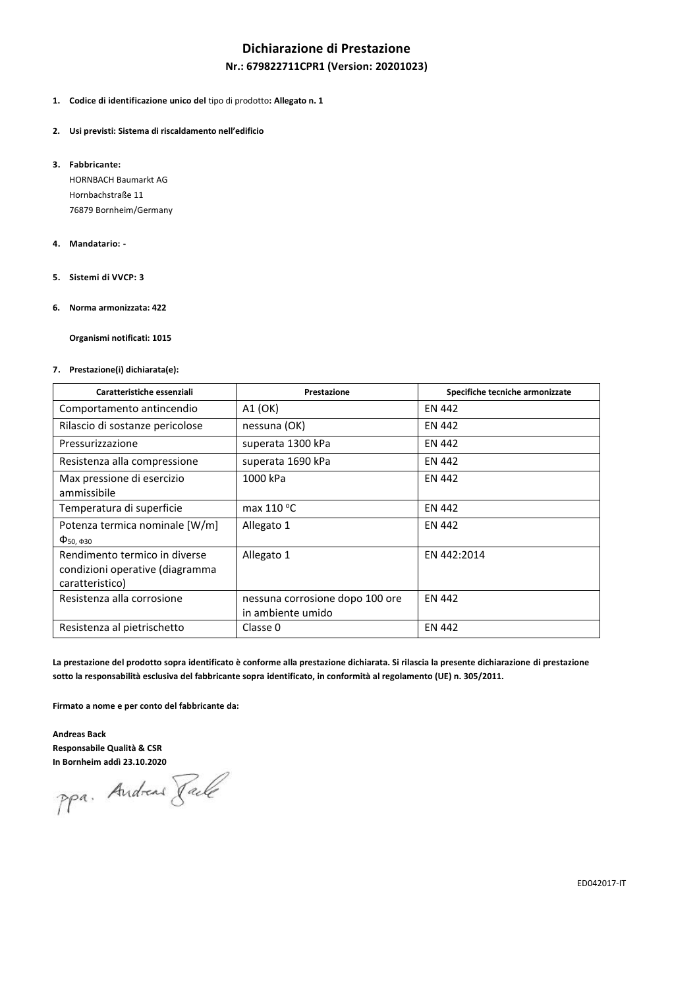# **Dichiarazione di Prestazione**

## **Nr.: 679822711CPR1 (Version: 20201023)**

### **1. Codice di identificazione unico del** tipo di prodotto**: Allegato n. 1**

#### **2. Usi previsti: Sistema di riscaldamento nell'edificio**

**3. Fabbricante:**

HORNBACH Baumarkt AG Hornbachstraße 11 76879 Bornheim/Germany

#### **4. Mandatario: -**

**5. Sistemi di VVCP: 3**

### **6. Norma armonizzata: 422**

**Organismi notificati: 1015**

### **7. Prestazione(i) dichiarata(e):**

| Caratteristiche essenziali                                                          | Prestazione                                          | Specifiche tecniche armonizzate |  |  |  |
|-------------------------------------------------------------------------------------|------------------------------------------------------|---------------------------------|--|--|--|
| Comportamento antincendio                                                           | A1 (OK)                                              | EN 442                          |  |  |  |
| Rilascio di sostanze pericolose                                                     | nessuna (OK)                                         | EN 442                          |  |  |  |
| Pressurizzazione                                                                    | superata 1300 kPa                                    | EN 442                          |  |  |  |
| Resistenza alla compressione                                                        | superata 1690 kPa                                    | EN 442                          |  |  |  |
| Max pressione di esercizio<br>ammissibile                                           | 1000 kPa                                             | EN 442                          |  |  |  |
| Temperatura di superficie                                                           | max $110 °C$                                         | EN 442                          |  |  |  |
| Potenza termica nominale [W/m]<br>$\Phi$ <sub>50</sub> , $\Phi$ <sub>30</sub>       | Allegato 1                                           | EN 442                          |  |  |  |
| Rendimento termico in diverse<br>condizioni operative (diagramma<br>caratteristico) | Allegato 1                                           | EN 442:2014                     |  |  |  |
| Resistenza alla corrosione                                                          | nessuna corrosione dopo 100 ore<br>in ambiente umido | EN 442                          |  |  |  |
| Resistenza al pietrischetto                                                         | Classe 0                                             | <b>EN 442</b>                   |  |  |  |

**La prestazione del prodotto sopra identificato è conforme alla prestazione dichiarata. Si rilascia la presente dichiarazione di prestazione sotto la responsabilità esclusiva del fabbricante sopra identificato, in conformità al regolamento (UE) n. 305/2011.**

**Firmato a nome e per conto del fabbricante da:**

**Andreas Back Responsabile Qualità & CSR**

**In Bornheim addì 23.10.2020**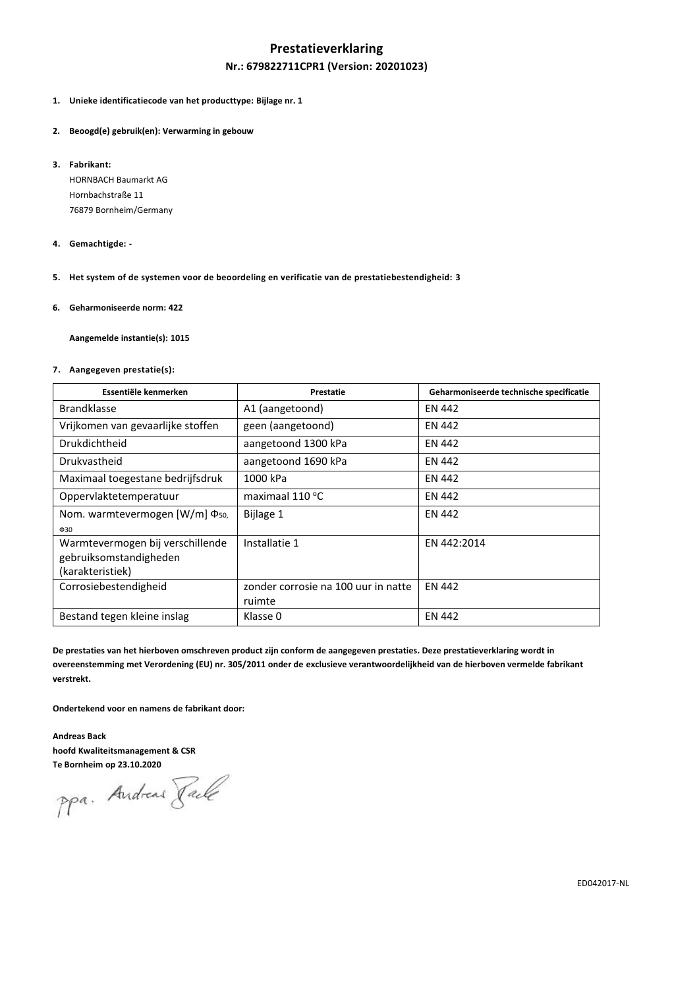## **Prestatieverklaring**

## **Nr.: 679822711CPR1 (Version: 20201023)**

- **1. Unieke identificatiecode van het producttype: Bijlage nr. 1**
- **2. Beoogd(e) gebruik(en): Verwarming in gebouw**
- **3. Fabrikant:**

HORNBACH Baumarkt AG Hornbachstraße 11 76879 Bornheim/Germany

- **4. Gemachtigde: -**
- **5. Het system of de systemen voor de beoordeling en verificatie van de prestatiebestendigheid: 3**
- **6. Geharmoniseerde norm: 422**

**Aangemelde instantie(s): 1015**

#### **7. Aangegeven prestatie(s):**

| Essentiële kenmerken                       | Prestatie                           | Geharmoniseerde technische specificatie |  |  |
|--------------------------------------------|-------------------------------------|-----------------------------------------|--|--|
| <b>Brandklasse</b>                         | A1 (aangetoond)                     | EN 442                                  |  |  |
| Vrijkomen van gevaarlijke stoffen          | geen (aangetoond)                   | EN 442                                  |  |  |
| Drukdichtheid                              | aangetoond 1300 kPa                 | <b>EN 442</b>                           |  |  |
| Drukvastheid                               | aangetoond 1690 kPa                 | EN 442                                  |  |  |
| Maximaal toegestane bedrijfsdruk           | 1000 kPa                            | EN 442                                  |  |  |
| Oppervlaktetemperatuur                     | maximaal 110 °C                     | EN 442                                  |  |  |
| Nom. warmtevermogen [W/m] Φ <sub>50.</sub> | Bijlage 1                           | <b>EN 442</b>                           |  |  |
| $\Phi$ 30                                  |                                     |                                         |  |  |
| Warmtevermogen bij verschillende           | Installatie 1                       | EN 442:2014                             |  |  |
| gebruiksomstandigheden                     |                                     |                                         |  |  |
| (karakteristiek)                           |                                     |                                         |  |  |
| Corrosiebestendigheid                      | zonder corrosie na 100 uur in natte | <b>EN 442</b>                           |  |  |
|                                            | ruimte                              |                                         |  |  |
| Bestand tegen kleine inslag                | Klasse 0                            | <b>EN 442</b>                           |  |  |

**De prestaties van het hierboven omschreven product zijn conform de aangegeven prestaties. Deze prestatieverklaring wordt in overeenstemming met Verordening (EU) nr. 305/2011 onder de exclusieve verantwoordelijkheid van de hierboven vermelde fabrikant verstrekt.**

**Ondertekend voor en namens de fabrikant door:**

**Andreas Back hoofd Kwaliteitsmanagement & CSR**

**Te Bornheim op 23.10.2020**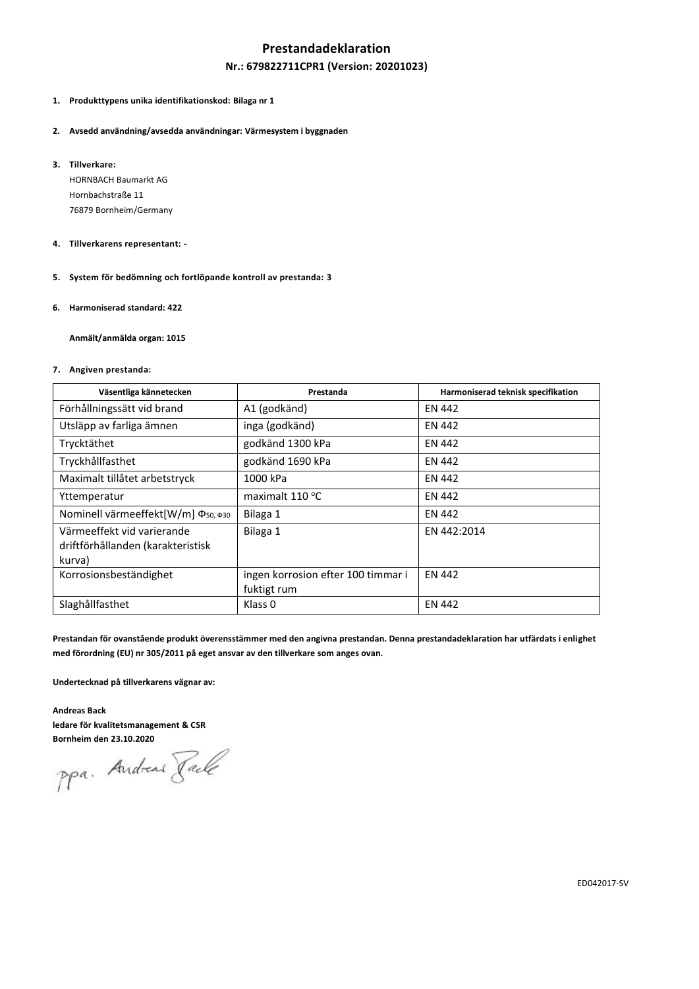## **Prestandadeklaration**

## **Nr.: 679822711CPR1 (Version: 20201023)**

## **1. Produkttypens unika identifikationskod: Bilaga nr 1**

- **2. Avsedd användning/avsedda användningar: Värmesystem i byggnaden**
- **3. Tillverkare:**

HORNBACH Baumarkt AG Hornbachstraße 11 76879 Bornheim/Germany

- **4. Tillverkarens representant: -**
- **5. System för bedömning och fortlöpande kontroll av prestanda: 3**
- **6. Harmoniserad standard: 422**

**Anmält/anmälda organ: 1015**

### **7. Angiven prestanda:**

| Väsentliga kännetecken                                                    | Prestanda                                         | Harmoniserad teknisk specifikation |
|---------------------------------------------------------------------------|---------------------------------------------------|------------------------------------|
| Förhållningssätt vid brand                                                | A1 (godkänd)                                      | <b>EN 442</b>                      |
| Utsläpp av farliga ämnen                                                  | inga (godkänd)                                    | <b>EN 442</b>                      |
| Trycktäthet                                                               | godkänd 1300 kPa                                  | <b>EN 442</b>                      |
| Tryckhållfasthet                                                          | godkänd 1690 kPa                                  | <b>EN 442</b>                      |
| Maximalt tillåtet arbetstryck                                             | 1000 kPa                                          | <b>EN 442</b>                      |
| Yttemperatur                                                              | maximalt 110 °C                                   | <b>EN 442</b>                      |
| Nominell värmeeffekt[W/m] Φ <sub>50, Φ30</sub>                            | Bilaga 1                                          | <b>EN 442</b>                      |
| Värmeeffekt vid varierande<br>driftförhållanden (karakteristisk<br>kurva) | Bilaga 1                                          | EN 442:2014                        |
| Korrosionsbeständighet                                                    | ingen korrosion efter 100 timmar i<br>fuktigt rum | <b>EN 442</b>                      |
| Slaghållfasthet                                                           | Klass <sub>0</sub>                                | <b>EN 442</b>                      |

**Prestandan för ovanstående produkt överensstämmer med den angivna prestandan. Denna prestandadeklaration har utfärdats i enlighet med förordning (EU) nr 305/2011 på eget ansvar av den tillverkare som anges ovan.**

**Undertecknad på tillverkarens vägnar av:**

**Andreas Back ledare för kvalitetsmanagement & CSR**

**Bornheim den 23.10.2020**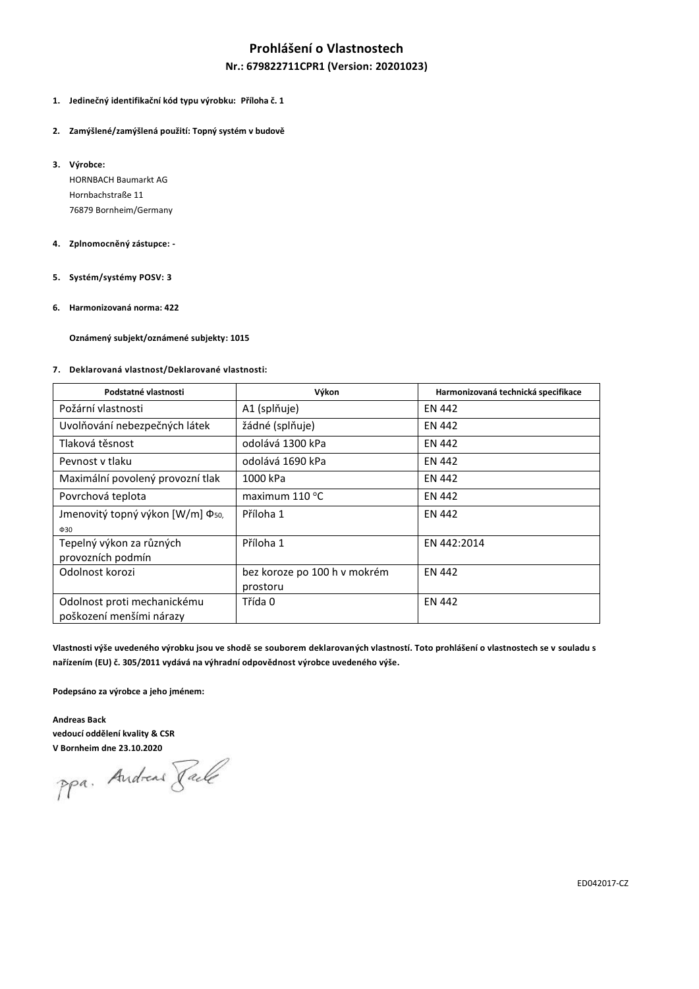# **Prohlášení o Vlastnostech**

## **Nr.: 679822711CPR1 (Version: 20201023)**

### **1. Jedinečný identifikační kód typu výrobku: Příloha č. 1**

- **2. Zamýšlené/zamýšlená použití: Topný systém v budově**
- **3. Výrobce:**

HORNBACH Baumarkt AG Hornbachstraße 11 76879 Bornheim/Germany

#### **4. Zplnomocněný zástupce: -**

- **5. Systém/systémy POSV: 3**
- **6. Harmonizovaná norma: 422**

**Oznámený subjekt/oznámené subjekty: 1015**

## **7. Deklarovaná vlastnost/Deklarované vlastnosti:**

| Podstatné vlastnosti                         | Výkon                        | Harmonizovaná technická specifikace |
|----------------------------------------------|------------------------------|-------------------------------------|
| Požární vlastnosti                           | A1 (splňuje)                 | <b>EN 442</b>                       |
| Uvolňování nebezpečných látek                | žádné (splňuje)              | <b>EN 442</b>                       |
| Tlaková těsnost                              | odolává 1300 kPa             | <b>EN 442</b>                       |
| Peynost y tlaku                              | odolává 1690 kPa             | <b>EN 442</b>                       |
| Maximální povolený provozní tlak             | 1000 kPa                     | <b>EN 442</b>                       |
| Povrchová teplota                            | maximum $110^{\circ}$ C      | <b>EN 442</b>                       |
| Jmenovitý topný výkon [W/m] Φ <sub>50,</sub> | Příloha 1                    | <b>EN 442</b>                       |
| $\Phi$ 30                                    |                              |                                     |
| Tepelný výkon za různých                     | Příloha 1                    | EN 442:2014                         |
| provozních podmín                            |                              |                                     |
| Odolnost korozi                              | bez koroze po 100 h v mokrém | <b>EN 442</b>                       |
|                                              | prostoru                     |                                     |
| Odolnost proti mechanickému                  | Třída 0                      | <b>EN 442</b>                       |
| poškození menšími nárazy                     |                              |                                     |

**Vlastnosti výše uvedeného výrobku jsou ve shodě se souborem deklarovaných vlastností. Toto prohlášení o vlastnostech se v souladu s nařízením (EU) č. 305/2011 vydává na výhradní odpovědnost výrobce uvedeného výše.**

**Podepsáno za výrobce a jeho jménem:**

**Andreas Back vedoucí oddělení kvality & CSR**

**V Bornheim dne 23.10.2020**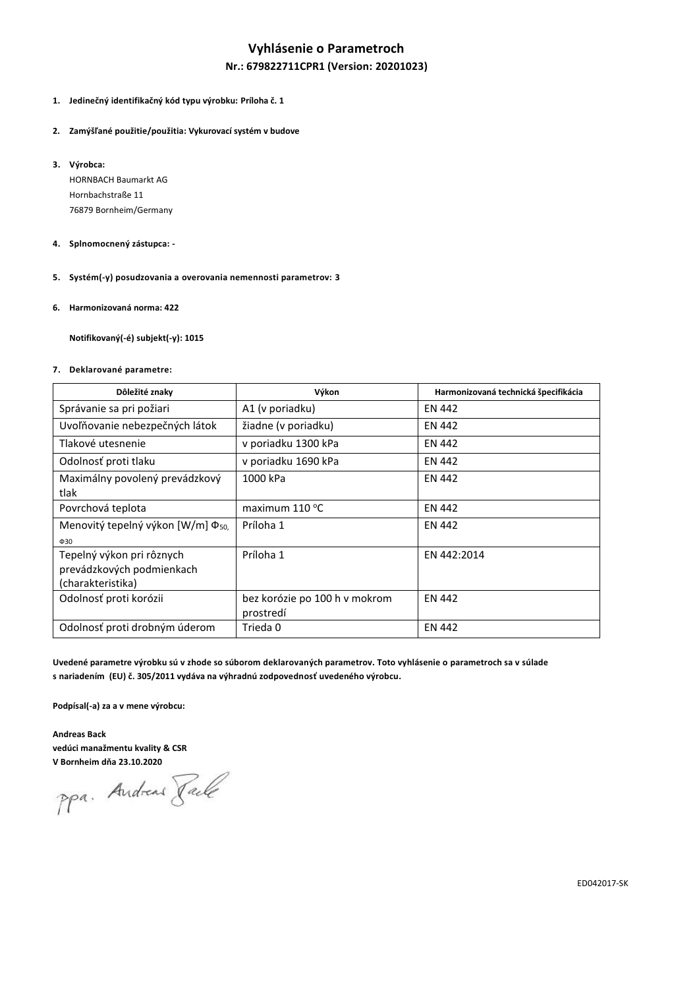# **Vyhlásenie o Parametroch**

## **Nr.: 679822711CPR1 (Version: 20201023)**

### **1. Jedinečný identifikačný kód typu výrobku: Príloha č. 1**

- **2. Zamýšľané použitie/použitia: Vykurovací systém v budove**
- **3. Výrobca:**

HORNBACH Baumarkt AG Hornbachstraße 11 76879 Bornheim/Germany

### **4. Splnomocnený zástupca: -**

- **5. Systém(-y) posudzovania a overovania nemennosti parametrov: 3**
- **6. Harmonizovaná norma: 422**

**Notifikovaný(-é) subjekt(-y): 1015**

### **7. Deklarované parametre:**

| Dôležité znaky                                         | Výkon                                      | Harmonizovaná technická špecifikácia |  |  |  |
|--------------------------------------------------------|--------------------------------------------|--------------------------------------|--|--|--|
| Správanie sa pri požiari                               | A1 (v poriadku)                            | EN 442                               |  |  |  |
| Uvoľňovanie nebezpečných látok                         | žiadne (v poriadku)                        | <b>EN 442</b>                        |  |  |  |
| Tlakové utesnenie                                      | v poriadku 1300 kPa                        | EN 442                               |  |  |  |
| Odolnosť proti tlaku                                   | v poriadku 1690 kPa                        | <b>EN 442</b>                        |  |  |  |
| Maximálny povolený prevádzkový<br>tlak                 | 1000 kPa                                   | <b>EN 442</b>                        |  |  |  |
| Povrchová teplota                                      | maximum $110^{\circ}$ C                    | <b>EN 442</b>                        |  |  |  |
| Menovitý tepelný výkon [W/m] Φ <sub>50,</sub>          | Príloha 1                                  | <b>EN 442</b>                        |  |  |  |
| $\Phi$ 30                                              |                                            |                                      |  |  |  |
| Tepelný výkon pri rôznych<br>prevádzkových podmienkach | Príloha 1                                  | EN 442:2014                          |  |  |  |
| (charakteristika)                                      |                                            |                                      |  |  |  |
| Odolnosť proti korózii                                 | bez korózie po 100 h v mokrom<br>prostredí | <b>EN 442</b>                        |  |  |  |
| Odolnosť proti drobným úderom                          | Trieda 0                                   | <b>EN 442</b>                        |  |  |  |

**Uvedené parametre výrobku sú v zhode so súborom deklarovaných parametrov. Toto vyhlásenie o parametroch sa v súlade s nariadením (EU) č. 305/2011 vydáva na výhradnú zodpovednosť uvedeného výrobcu.**

**Podpísal(-a) za a v mene výrobcu:**

**Andreas Back vedúci manažmentu kvality & CSR**

**V Bornheim dňa 23.10.2020**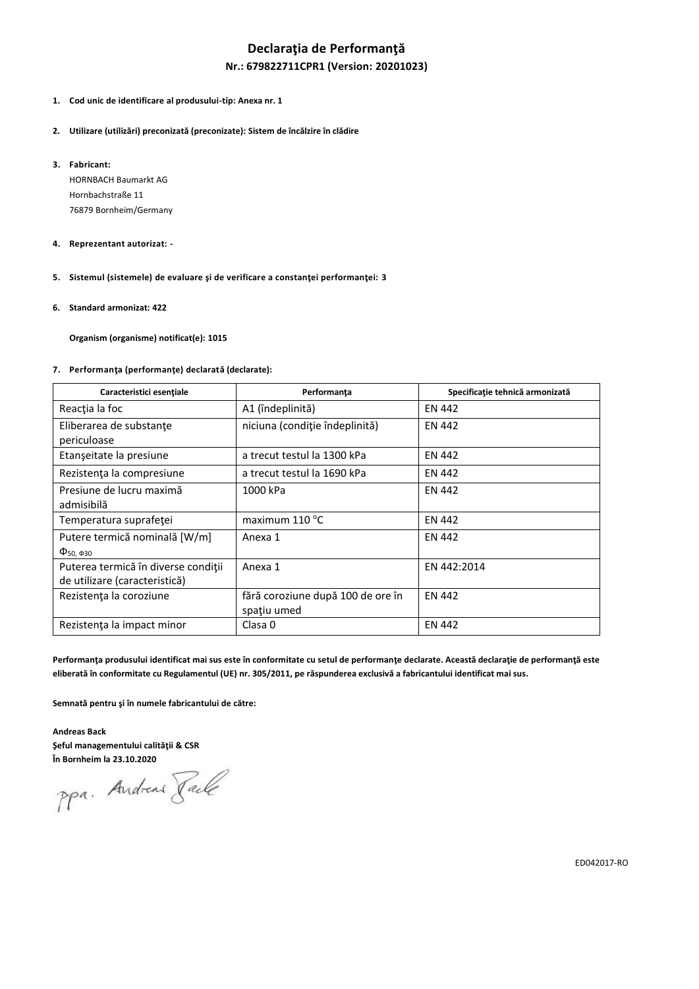# **Declaraţia de Performanţă**

### **Nr.: 679822711CPR1 (Version: 20201023)**

- **1. Cod unic de identificare al produsului-tip: Anexa nr. 1**
- **2. Utilizare (utilizări) preconizată (preconizate): Sistem de încălzire în clădire**
- **3. Fabricant:**

HORNBACH Baumarkt AG Hornbachstraße 11 76879 Bornheim/Germany

- **4. Reprezentant autorizat: -**
- **5. Sistemul (sistemele) de evaluare şi de verificare a constanţei performanţei: 3**
- **6. Standard armonizat: 422**

**Organism (organisme) notificat(e): 1015**

#### **7. Performanţa (performanţe) declarată (declarate):**

| Caracteristici esențiale                                             | Performanța                                      | Specificație tehnică armonizată |  |  |  |  |
|----------------------------------------------------------------------|--------------------------------------------------|---------------------------------|--|--|--|--|
| Reacția la foc                                                       | A1 (îndeplinită)                                 | <b>EN 442</b>                   |  |  |  |  |
| Eliberarea de substanțe<br>periculoase                               | niciuna (condiție îndeplinită)                   | <b>EN 442</b>                   |  |  |  |  |
| Etanșeitate la presiune                                              | a trecut testul la 1300 kPa                      | <b>EN 442</b>                   |  |  |  |  |
| Rezistența la compresiune                                            | a trecut testul la 1690 kPa                      | <b>EN 442</b>                   |  |  |  |  |
| Presiune de lucru maximă<br>admisibilă                               | 1000 kPa                                         | <b>EN 442</b>                   |  |  |  |  |
| Temperatura suprafeței                                               | maximum $110^{\circ}$ C                          | <b>EN 442</b>                   |  |  |  |  |
| Putere termică nominală [W/m]<br>$\Phi_{50, \Phi_{30}}$              | Anexa 1                                          | <b>EN 442</b>                   |  |  |  |  |
| Puterea termică în diverse condiții<br>de utilizare (caracteristică) | Anexa 1                                          | EN 442:2014                     |  |  |  |  |
| Rezistența la coroziune                                              | fără coroziune după 100 de ore în<br>spatiu umed | <b>EN 442</b>                   |  |  |  |  |
| Rezistența la impact minor                                           | Clasa 0                                          | <b>EN 442</b>                   |  |  |  |  |

**Performanţa produsului identificat mai sus este în conformitate cu setul de performanţe declarate. Această declaraţie de performanţă este eliberată în conformitate cu Regulamentul (UE) nr. 305/2011, pe răspunderea exclusivă a fabricantului identificat mai sus.**

**Semnată pentru şi în numele fabricantului de către:**

**Andreas Back Şeful managementului calităţii & CSR**

**În Bornheim la 23.10.2020**

ED042017-RO